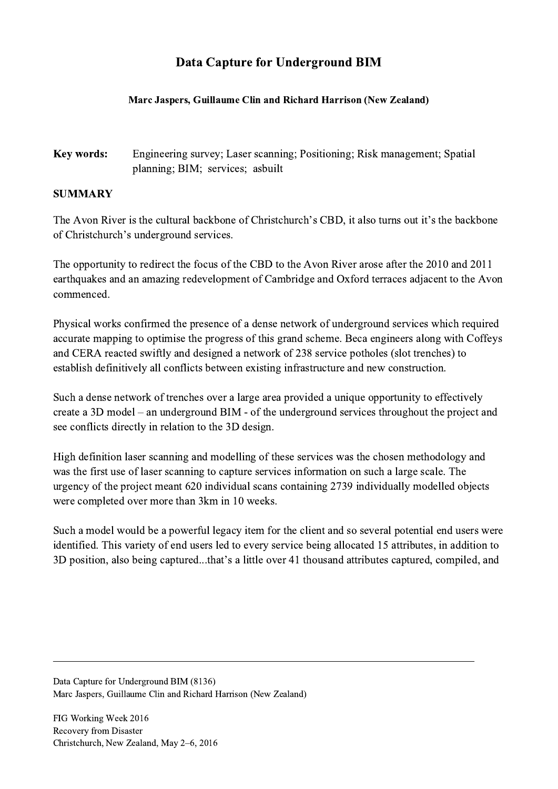## Data Capture for Underground BIM

## Marc Jaspers, Guillaume Clin and Richard Harrison (New Zealand)

## Key words: Engineering survey; Laser scanning; Positioning; Risk management; Spatial planning; BIM; services; asbuilt

## SUMMARY

The Avon River is the cultural backbone of Christchurch's CBD, it also turns out it's the backbone of Christchurch's underground services.

The opportunity to redirect the focus of the CBD to the Avon River arose after the 2010 and 2011 earthquakes and an amazing redevelopment of Cambridge and Oxford terraces adjacent to the Avon commenced.

Physical works confirmed the presence of a dense network of underground services which required accurate mapping to optimise the progress of this grand scheme. Beca engineers along with Coffeys and CERA reacted swiftly and designed a network of 238 service potholes (slot trenches) to establish definitively all conflicts between existing infrastructure and new construction.

Such a dense network of trenches over a large area provided a unique opportunity to effectively create a 3D model – an underground BIM - of the underground services throughout the project and see conflicts directly in relation to the 3D design.

High definition laser scanning and modelling of these services was the chosen methodology and was the first use of laser scanning to capture services information on such a large scale. The urgency of the project meant 620 individual scans containing 2739 individually modelled objects were completed over more than 3km in 10 weeks.

Such a model would be a powerful legacy item for the client and so several potential end users were identified. This variety of end users led to every service being allocated 15 attributes, in addition to 3D position, also being captured...that's a little over 41 thousand attributes captured, compiled, and

 $\mathcal{L}_\mathcal{L} = \{ \mathcal{L}_\mathcal{L} = \{ \mathcal{L}_\mathcal{L} = \{ \mathcal{L}_\mathcal{L} = \{ \mathcal{L}_\mathcal{L} = \{ \mathcal{L}_\mathcal{L} = \{ \mathcal{L}_\mathcal{L} = \{ \mathcal{L}_\mathcal{L} = \{ \mathcal{L}_\mathcal{L} = \{ \mathcal{L}_\mathcal{L} = \{ \mathcal{L}_\mathcal{L} = \{ \mathcal{L}_\mathcal{L} = \{ \mathcal{L}_\mathcal{L} = \{ \mathcal{L}_\mathcal{L} = \{ \mathcal{L}_\mathcal{$